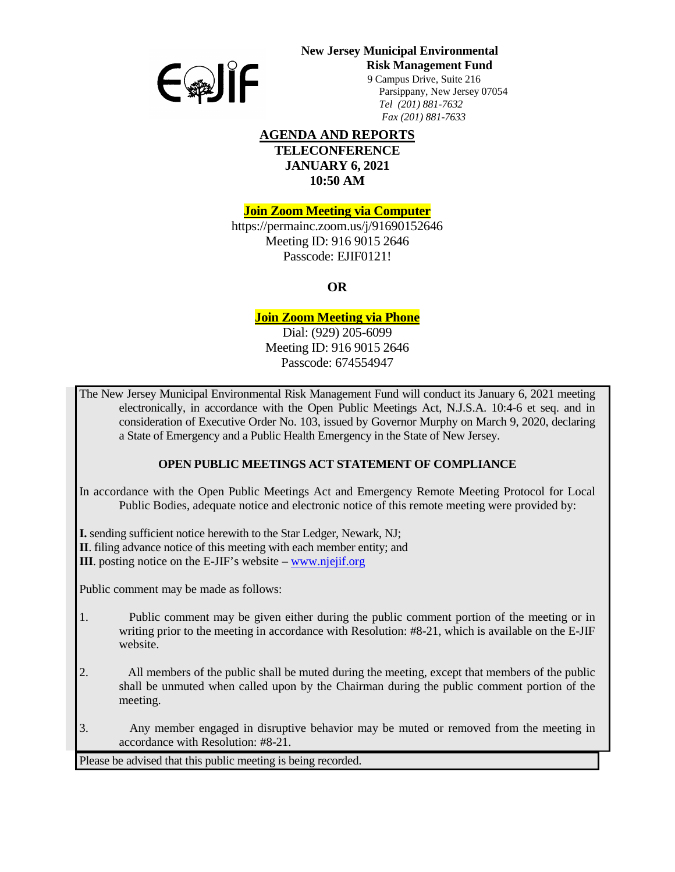

# **New Jersey Municipal Environmental**

**Risk Management Fund** 

 9 Campus Drive, Suite 216 Parsippany, New Jersey 07054 *Tel (201) 881-7632 Fax (201) 881-7633*

### **AGENDA AND REPORTS TELECONFERENCE JANUARY 6, 2021 10:50 AM**

**Join Zoom Meeting via Computer**

https://permainc.zoom.us/j/91690152646 Meeting ID: 916 9015 2646 Passcode: EJIF0121!

**OR**

## **Join Zoom Meeting via Phone**

Dial: (929) 205-6099 Meeting ID: 916 9015 2646 Passcode: 674554947

The New Jersey Municipal Environmental Risk Management Fund will conduct its January 6, 2021 meeting electronically, in accordance with the Open Public Meetings Act, N.J.S.A. 10:4-6 et seq. and in consideration of Executive Order No. 103, issued by Governor Murphy on March 9, 2020, declaring a State of Emergency and a Public Health Emergency in the State of New Jersey.

## **OPEN PUBLIC MEETINGS ACT STATEMENT OF COMPLIANCE**

In accordance with the Open Public Meetings Act and Emergency Remote Meeting Protocol for Local Public Bodies, adequate notice and electronic notice of this remote meeting were provided by:

**I.** sending sufficient notice herewith to the Star Ledger, Newark, NJ;

**II**. filing advance notice of this meeting with each member entity; and

**III**. posting notice on the E-JIF's website – [www.njejif.org](http://www.njejif.org/)

Public comment may be made as follows:

- 1. Public comment may be given either during the public comment portion of the meeting or in writing prior to the meeting in accordance with Resolution: #8-21, which is available on the E-JIF website.
- 2. All members of the public shall be muted during the meeting, except that members of the public shall be unmuted when called upon by the Chairman during the public comment portion of the meeting.
- 3. Any member engaged in disruptive behavior may be muted or removed from the meeting in accordance with Resolution: #8-21.

Please be advised that this public meeting is being recorded.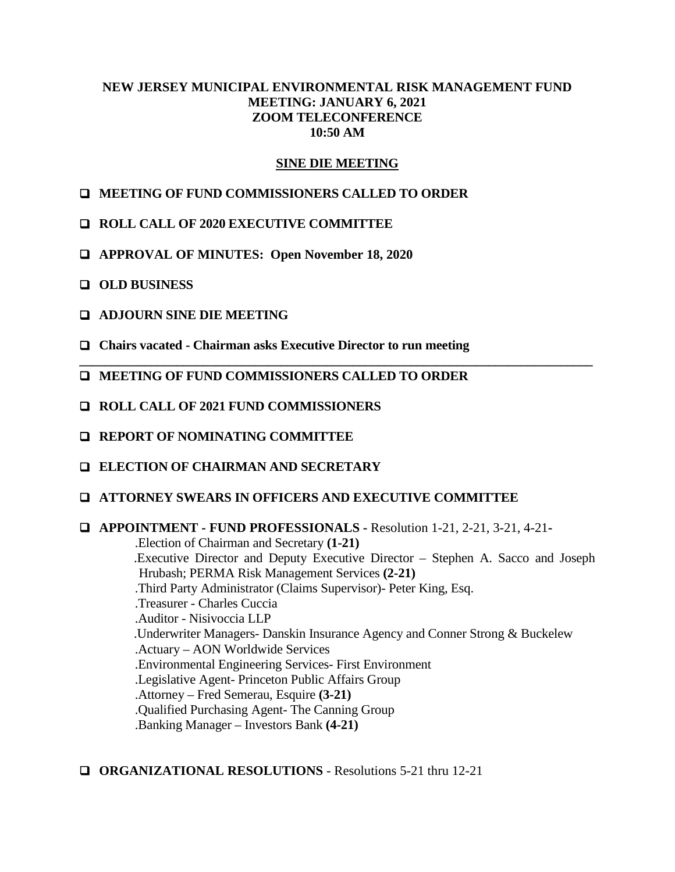## **NEW JERSEY MUNICIPAL ENVIRONMENTAL RISK MANAGEMENT FUND MEETING: JANUARY 6, 2021 ZOOM TELECONFERENCE 10:50 AM**

## **SINE DIE MEETING**

- **MEETING OF FUND COMMISSIONERS CALLED TO ORDER**
- **ROLL CALL OF 2020 EXECUTIVE COMMITTEE**
- **APPROVAL OF MINUTES: Open November 18, 2020**
- **OLD BUSINESS**
- **ADJOURN SINE DIE MEETING**
- **Chairs vacated - Chairman asks Executive Director to run meeting**
- **\_\_\_\_\_\_\_\_\_\_\_\_\_\_\_\_\_\_\_\_\_\_\_\_\_\_\_\_\_\_\_\_\_\_\_\_\_\_\_\_\_\_\_\_\_\_\_\_\_\_\_\_\_\_\_\_\_\_\_\_\_\_\_\_\_\_\_\_\_\_\_\_\_\_\_\_\_\_\_ MEETING OF FUND COMMISSIONERS CALLED TO ORDER**
- **ROLL CALL OF 2021 FUND COMMISSIONERS**
- **REPORT OF NOMINATING COMMITTEE**
- **ELECTION OF CHAIRMAN AND SECRETARY**
- **ATTORNEY SWEARS IN OFFICERS AND EXECUTIVE COMMITTEE**

## **APPOINTMENT - FUND PROFESSIONALS -** Resolution 1-21, 2-21, 3-21, 4-21**-**

.Election of Chairman and Secretary **(1-21)** .Executive Director and Deputy Executive Director – Stephen A. Sacco and Joseph Hrubash; PERMA Risk Management Services **(2-21)** .Third Party Administrator (Claims Supervisor)- Peter King, Esq. .Treasurer - Charles Cuccia .Auditor - Nisivoccia LLP .Underwriter Managers- Danskin Insurance Agency and Conner Strong & Buckelew .Actuary – AON Worldwide Services .Environmental Engineering Services- First Environment .Legislative Agent- Princeton Public Affairs Group .Attorney – Fred Semerau, Esquire **(3-21)** .Qualified Purchasing Agent- The Canning Group .Banking Manager – Investors Bank **(4-21)**

#### **ORGANIZATIONAL RESOLUTIONS** - Resolutions 5-21 thru 12-21